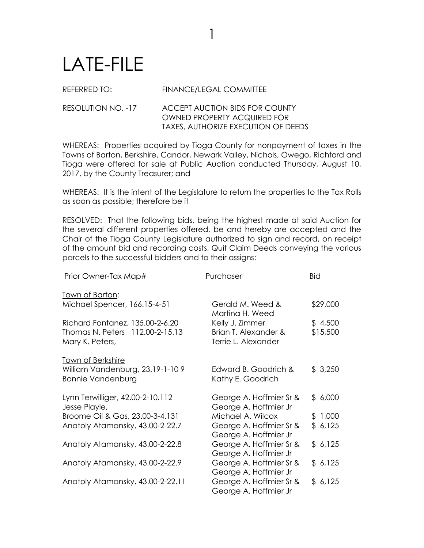## LATE-FILE

REFERRED TO: FINANCE/LEGAL COMMITTEE

1

## RESOLUTION NO. -17 ACCEPT AUCTION BIDS FOR COUNTY OWNED PROPERTY ACQUIRED FOR TAXES, AUTHORIZE EXECUTION OF DEEDS

WHEREAS: Properties acquired by Tioga County for nonpayment of taxes in the Towns of Barton, Berkshire, Candor, Newark Valley, Nichols, Owego, Richford and Tioga were offered for sale at Public Auction conducted Thursday, August 10, 2017, by the County Treasurer; and

WHEREAS: It is the intent of the Legislature to return the properties to the Tax Rolls as soon as possible; therefore be it

RESOLVED: That the following bids, being the highest made at said Auction for the several different properties offered, be and hereby are accepted and the Chair of the Tioga County Legislature authorized to sign and record, on receipt of the amount bid and recording costs, Quit Claim Deeds conveying the various parcels to the successful bidders and to their assigns:

| Prior Owner-Tax Map#                                                                    | Purchaser                                                      | <b>Bid</b>          |
|-----------------------------------------------------------------------------------------|----------------------------------------------------------------|---------------------|
| <u>Town of Barton:</u>                                                                  |                                                                |                     |
| Michael Spencer, 166.15-4-51                                                            | Gerald M. Weed &<br>Martina H. Weed                            | \$29,000            |
| Richard Fontanez, 135.00-2-6.20<br>Thomas N. Peters 112.00-2-15.13<br>Mary K. Peters,   | Kelly J. Zimmer<br>Brian T. Alexander &<br>Terrie L. Alexander | \$4,500<br>\$15,500 |
| <b>Town of Berkshire</b><br>William Vandenburg, 23.19-1-109<br><b>Bonnie Vandenburg</b> | Edward B. Goodrich &<br>Kathy E. Goodrich                      | \$3,250             |
| Lynn Terwilliger, 42.00-2-10.112<br>Jesse Playle,                                       | George A. Hoffmier Sr &<br>George A. Hoffmier Jr               | \$6,000             |
| Broome Oil & Gas, 23.00-3-4.131                                                         | Michael A. Wilcox                                              | \$1,000             |
| Anatoly Atamansky, 43.00-2-22.7                                                         | George A. Hoffmier Sr &<br>George A. Hoffmier Jr               | \$6,125             |
| Anatoly Atamansky, 43.00-2-22.8                                                         | George A. Hoffmier Sr &<br>George A. Hoffmier Jr               | \$6,125             |
| Anatoly Atamansky, 43.00-2-22.9                                                         | George A. Hoffmier Sr &<br>George A. Hoffmier Jr               | \$6,125             |
| Anatoly Atamansky, 43.00-2-22.11                                                        | George A. Hoffmier Sr &<br>George A. Hoffmier Jr               | \$6,125             |